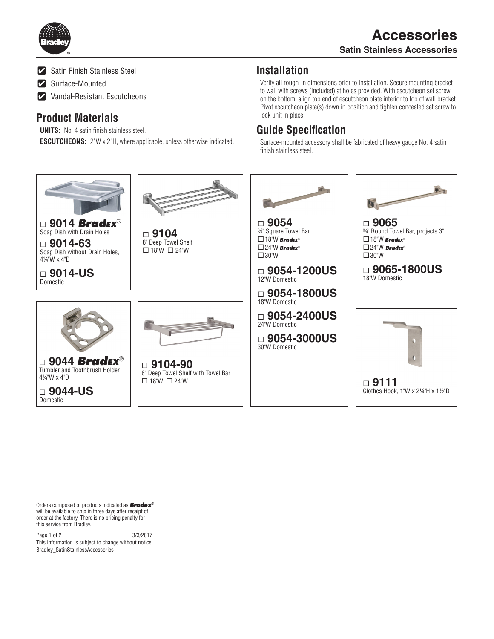

**Z** Satin Finish Stainless Steel

Surface-Mounted

**Vandal-Resistant Escutcheons** 

## **Product Materials**

**UNITS:** No. 4 satin finish stainless steel. **ESCUTCHEONS:** 2"W x 2"H, where applicable, unless otherwise indicated.

## **Installation**

Verify all rough-in dimensions prior to installation. Secure mounting bracket to wall with screws (included) at holes provided. With escutcheon set screw on the bottom, align top end of escutcheon plate interior to top of wall bracket. Pivot escutcheon plate(s) down in position and tighten concealed set screw to lock unit in place.

## **Guide Specification**

Surface-mounted accessory shall be fabricated of heavy gauge No. 4 satin finish stainless steel.



Orders composed of products indicated as *Bradex®* will be available to ship in three days after receipt of order at the factory. There is no pricing penalty for this service from Bradley.

Page 1 of 2 3/3/2017 This information is subject to change without notice. Bradley\_SatinStainlessAccessories